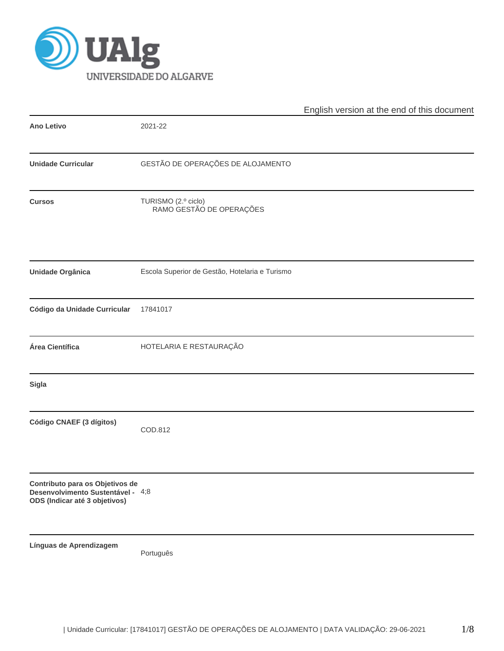

|                                                                                                       |                                                 | English version at the end of this document |
|-------------------------------------------------------------------------------------------------------|-------------------------------------------------|---------------------------------------------|
| <b>Ano Letivo</b>                                                                                     | 2021-22                                         |                                             |
| <b>Unidade Curricular</b>                                                                             | GESTÃO DE OPERAÇÕES DE ALOJAMENTO               |                                             |
| <b>Cursos</b>                                                                                         | TURISMO (2.º ciclo)<br>RAMO GESTÃO DE OPERAÇÕES |                                             |
| Unidade Orgânica                                                                                      | Escola Superior de Gestão, Hotelaria e Turismo  |                                             |
| Código da Unidade Curricular                                                                          | 17841017                                        |                                             |
| Área Científica                                                                                       | HOTELARIA E RESTAURAÇÃO                         |                                             |
| Sigla                                                                                                 |                                                 |                                             |
| Código CNAEF (3 dígitos)                                                                              | COD.812                                         |                                             |
| Contributo para os Objetivos de<br>Desenvolvimento Sustentável - 4;8<br>ODS (Indicar até 3 objetivos) |                                                 |                                             |
| Línguas de Aprendizagem                                                                               | Português                                       |                                             |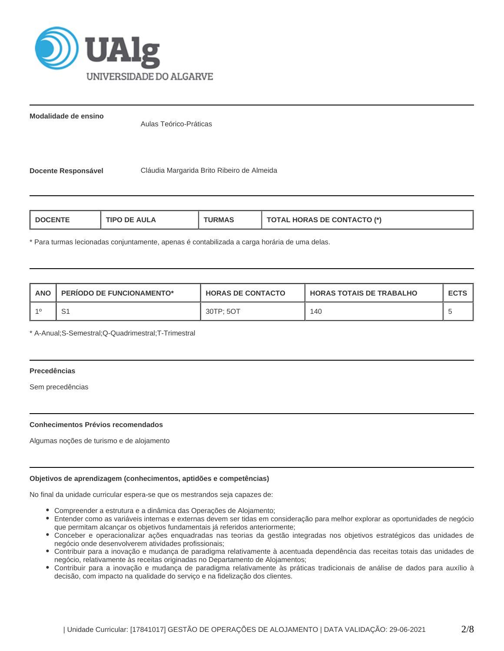

**Modalidade de ensino**

Aulas Teórico-Práticas

**Docente Responsável** Cláudia Margarida Brito Ribeiro de Almeida

| <b>DE AULA</b><br>DOCENTE<br><b>URMAS</b><br>'IPO | <b>TOTAL HORAS DE CONTACTO (*)</b> |
|---------------------------------------------------|------------------------------------|
|---------------------------------------------------|------------------------------------|

\* Para turmas lecionadas conjuntamente, apenas é contabilizada a carga horária de uma delas.

| ANO | <b>PERIODO DE FUNCIONAMENTO*</b> | <b>HORAS DE CONTACTO</b> | I HORAS TOTAIS DE TRABALHO | <b>ECTS</b> |
|-----|----------------------------------|--------------------------|----------------------------|-------------|
|     | S1                               | 30TP: 5OT                | 140                        |             |

\* A-Anual;S-Semestral;Q-Quadrimestral;T-Trimestral

# **Precedências**

Sem precedências

## **Conhecimentos Prévios recomendados**

Algumas noções de turismo e de alojamento

## **Objetivos de aprendizagem (conhecimentos, aptidões e competências)**

No final da unidade curricular espera-se que os mestrandos seja capazes de:

- Compreender a estrutura e a dinâmica das Operações de Alojamento;
- Entender como as variáveis internas e externas devem ser tidas em consideração para melhor explorar as oportunidades de negócio que permitam alcançar os objetivos fundamentais já referidos anteriormente;
- Conceber e operacionalizar ações enquadradas nas teorias da gestão integradas nos objetivos estratégicos das unidades de negócio onde desenvolverem atividades profissionais;
- Contribuir para a inovação e mudança de paradigma relativamente à acentuada dependência das receitas totais das unidades de negócio, relativamente às receitas originadas no Departamento de Alojamentos;
- Contribuir para a inovação e mudança de paradigma relativamente às práticas tradicionais de análise de dados para auxílio à decisão, com impacto na qualidade do serviço e na fidelização dos clientes.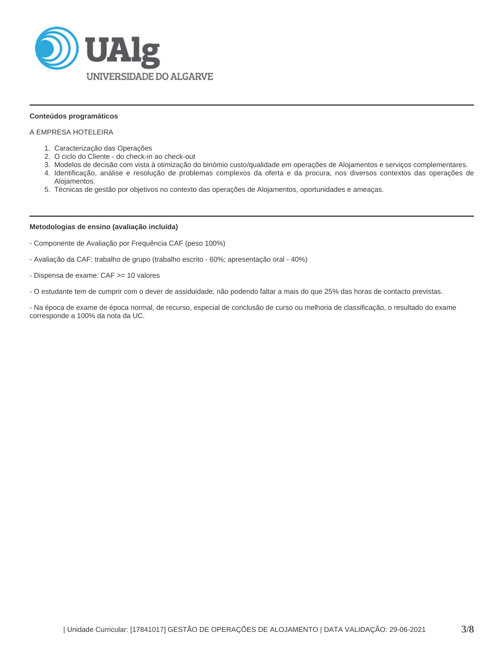

## **Conteúdos programáticos**

# A EMPRESA HOTELEIRA

- 1. Caracterização das Operações
- 2. O ciclo do Cliente do check-in ao check-out
- 3. Modelos de decisão com vista à otimização do binómio custo/qualidade em operações de Alojamentos e serviços complementares.
- 4. Identificação, análise e resolução de problemas complexos da oferta e da procura, nos diversos contextos das operações de Alojamentos.
- 5. Técnicas de gestão por objetivos no contexto das operações de Alojamentos, oportunidades e ameaças.

#### **Metodologias de ensino (avaliação incluída)**

- Componente de Avaliação por Frequência CAF (peso 100%)
- Avaliação da CAF: trabalho de grupo (trabalho escrito 60%; apresentação oral 40%)
- Dispensa de exame: CAF >= 10 valores
- O estudante tem de cumprir com o dever de assiduidade, não podendo faltar a mais do que 25% das horas de contacto previstas.

- Na época de exame de época normal, de recurso, especial de conclusão de curso ou melhoria de classificação, o resultado do exame corresponde a 100% da nota da UC.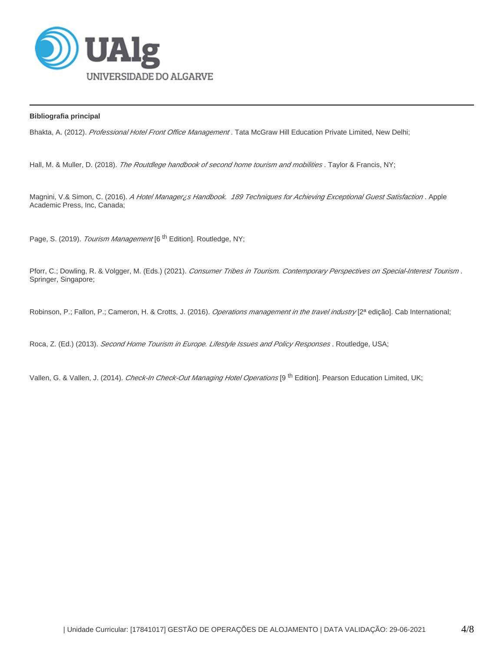

# **Bibliografia principal**

Bhakta, A. (2012). Professional Hotel Front Office Management. Tata McGraw Hill Education Private Limited, New Delhi;

Hall, M. & Muller, D. (2018). The Routdlege handbook of second home tourism and mobilities. Taylor & Francis, NY;

Magnini, V.& Simon, C. (2016). A Hotel Manager ¿s Handbook. 189 Techniques for Achieving Exceptional Guest Satisfaction. Apple Academic Press, Inc, Canada;

Page, S. (2019). Tourism Management [6<sup>th</sup> Edition]. Routledge, NY;

Pforr, C.; Dowling, R. & Volgger, M. (Eds.) (2021). Consumer Tribes in Tourism. Contemporary Perspectives on Special-Interest Tourism. Springer, Singapore;

Robinson, P.; Fallon, P.; Cameron, H. & Crotts, J. (2016). Operations management in the travel industry [2ª edição]. Cab International;

Roca, Z. (Ed.) (2013). Second Home Tourism in Europe. Lifestyle Issues and Policy Responses. Routledge, USA;

Vallen, G. & Vallen, J. (2014). Check-In Check-Out Managing Hotel Operations [9<sup>th</sup> Edition]. Pearson Education Limited, UK;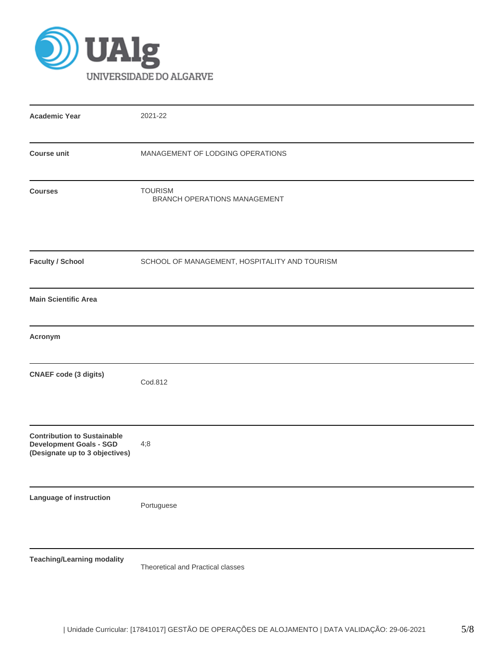

| <b>Academic Year</b>                                                                                   | 2021-22                                        |
|--------------------------------------------------------------------------------------------------------|------------------------------------------------|
| <b>Course unit</b>                                                                                     | MANAGEMENT OF LODGING OPERATIONS               |
| <b>Courses</b>                                                                                         | <b>TOURISM</b><br>BRANCH OPERATIONS MANAGEMENT |
| <b>Faculty / School</b>                                                                                | SCHOOL OF MANAGEMENT, HOSPITALITY AND TOURISM  |
| <b>Main Scientific Area</b>                                                                            |                                                |
| Acronym                                                                                                |                                                |
| <b>CNAEF</b> code (3 digits)                                                                           | Cod.812                                        |
| <b>Contribution to Sustainable</b><br><b>Development Goals - SGD</b><br>(Designate up to 3 objectives) | 4;8                                            |
| Language of instruction                                                                                | Portuguese                                     |
| <b>Teaching/Learning modality</b>                                                                      | Theoretical and Practical classes              |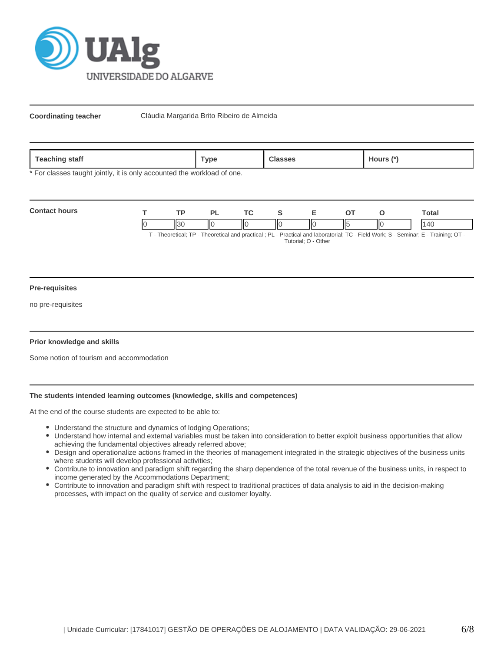

**Coordinating teacher** Cláudia Margarida Brito Ribeiro de Almeida

| <b>feaching</b><br>staff | ™vpe | $-1$<br>. | .100TS |
|--------------------------|------|-----------|--------|
|--------------------------|------|-----------|--------|

\* For classes taught jointly, it is only accounted the workload of one.

| <b>Contact hours</b> | TD.  |    |   |    |     | `otal                                                                                                                        |
|----------------------|------|----|---|----|-----|------------------------------------------------------------------------------------------------------------------------------|
|                      | II30 | IЮ | Ш | ∣। | IІC |                                                                                                                              |
|                      |      |    |   |    |     | T. Theoretical: TD. Theoretical and prootical : DL. Drastical and laboratorial: TC. Eight Wark: C. Caminar: E. Training: OT. |

T - Theoretical; TP - Theoretical and practical ; PL - Practical and laboratorial; TC - Field Work; S - Seminar; E - Training; OT - Tutorial; O - Other

#### **Pre-requisites**

no pre-requisites

## **Prior knowledge and skills**

Some notion of tourism and accommodation

# **The students intended learning outcomes (knowledge, skills and competences)**

At the end of the course students are expected to be able to:

- Understand the structure and dynamics of lodging Operations;
- Understand how internal and external variables must be taken into consideration to better exploit business opportunities that allow achieving the fundamental objectives already referred above;
- Design and operationalize actions framed in the theories of management integrated in the strategic objectives of the business units where students will develop professional activities;
- Contribute to innovation and paradigm shift regarding the sharp dependence of the total revenue of the business units, in respect to income generated by the Accommodations Department;
- Contribute to innovation and paradigm shift with respect to traditional practices of data analysis to aid in the decision-making processes, with impact on the quality of service and customer loyalty.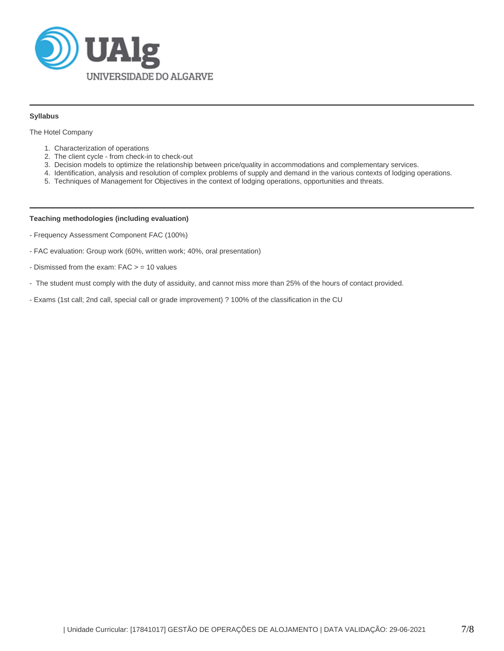

## **Syllabus**

The Hotel Company

- 1. Characterization of operations
- 2. The client cycle from check-in to check-out
- 3. Decision models to optimize the relationship between price/quality in accommodations and complementary services.
- 4. Identification, analysis and resolution of complex problems of supply and demand in the various contexts of lodging operations.
- 5. Techniques of Management for Objectives in the context of lodging operations, opportunities and threats.

## **Teaching methodologies (including evaluation)**

- Frequency Assessment Component FAC (100%)
- FAC evaluation: Group work (60%, written work; 40%, oral presentation)
- Dismissed from the exam: FAC > = 10 values
- The student must comply with the duty of assiduity, and cannot miss more than 25% of the hours of contact provided.
- Exams (1st call; 2nd call, special call or grade improvement) ? 100% of the classification in the CU